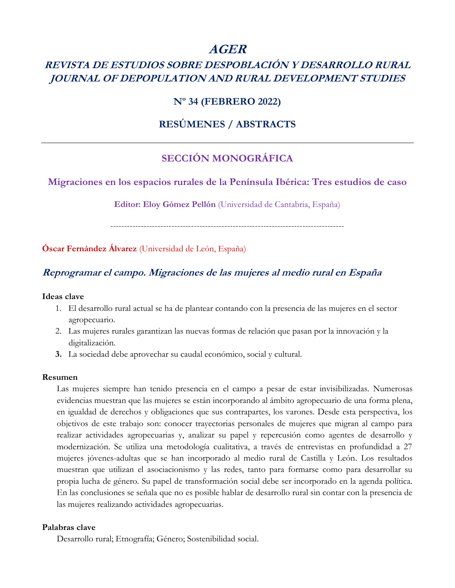# **AGER**

# **REVISTA DE ESTUDIOS SOBRE DESPOBLACIÓN Y DESARROLLO RURAL JOURNAL OF DEPOPULATION AND RURAL DEVELOPMENT STUDIES**

## **Nº 34 (FEBRERO 2022)**

## **RESÚMENES / ABSTRACTS**

## **SECCIÓN MONOGRÁFICA**

## **Migraciones en los espacios rurales de la Península Ibérica: Tres estudios de caso**

**Editor: Eloy Gómez Pellón** (Universidad de Cantabria, España)

------------------------------------------------------------------------------------

**Óscar Fernández Álvarez** (Universidad de León, España)

## **Reprogramar el campo. Migraciones de las mujeres al medio rural en España**

#### **Ideas clave**

- 1. El desarrollo rural actual se ha de plantear contando con la presencia de las mujeres en el sector agropecuario.
- 2. Las mujeres rurales garantizan las nuevas formas de relación que pasan por la innovación y la digitalización.
- **3.** La sociedad debe aprovechar su caudal económico, social y cultural.

#### **Resumen**

Las mujeres siempre han tenido presencia en el campo a pesar de estar invisibilizadas. Numerosas evidencias muestran que las mujeres se están incorporando al ámbito agropecuario de una forma plena, en igualdad de derechos y obligaciones que sus contrapartes, los varones. Desde esta perspectiva, los objetivos de este trabajo son: conocer trayectorias personales de mujeres que migran al campo para realizar actividades agropecuarias y, analizar su papel y repercusión como agentes de desarrollo y modernización. Se utiliza una metodología cualitativa, a través de entrevistas en profundidad a 27 mujeres jóvenes-adultas que se han incorporado al medio rural de Castilla y León. Los resultados muestran que utilizan el asociacionismo y las redes, tanto para formarse como para desarrollar su propia lucha de género. Su papel de transformación social debe ser incorporado en la agenda política. En las conclusiones se señala que no es posible hablar de desarrollo rural sin contar con la presencia de las mujeres realizando actividades agropecuarias.

### **Palabras clave**

Desarrollo rural; Etnografía; Género; Sostenibilidad social.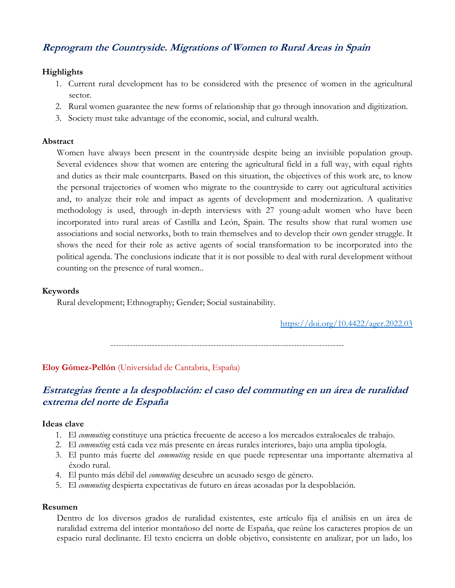## **Reprogram the Countryside. Migrations of Women to Rural Areas in Spain**

## **Highlights**

- 1. Current rural development has to be considered with the presence of women in the agricultural sector.
- 2. Rural women guarantee the new forms of relationship that go through innovation and digitization.
- 3. Society must take advantage of the economic, social, and cultural wealth.

### **Abstract**

Women have always been present in the countryside despite being an invisible population group. Several evidences show that women are entering the agricultural field in a full way, with equal rights and duties as their male counterparts. Based on this situation, the objectives of this work are, to know the personal trajectories of women who migrate to the countryside to carry out agricultural activities and, to analyze their role and impact as agents of development and modernization. A qualitative methodology is used, through in-depth interviews with 27 young-adult women who have been incorporated into rural areas of Castilla and León, Spain. The results show that rural women use associations and social networks, both to train themselves and to develop their own gender struggle. It shows the need for their role as active agents of social transformation to be incorporated into the political agenda. The conclusions indicate that it is not possible to deal with rural development without counting on the presence of rural women..

## **Keywords**

Rural development; Ethnography; Gender; Social sustainability.

<https://doi.org/10.4422/ager.2022.03>

------------------------------------------------------------------------------------

**Eloy Gómez-Pellón** (Universidad de Cantabria, España)

## **Estrategias frente a la despoblación: el caso del commuting en un área de ruralidad extrema del norte de España**

### **Ideas clave**

- 1. El *commuting* constituye una práctica frecuente de acceso a los mercados extralocales de trabajo.
- 2. El *commuting* está cada vez más presente en áreas rurales interiores, bajo una amplia tipología.
- 3. El punto más fuerte del *commuting* reside en que puede representar una importante alternativa al éxodo rural.
- 4. El punto más débil del *commuting* descubre un acusado sesgo de género.
- 5. El *commuting* despierta expectativas de futuro en áreas acosadas por la despoblación.

### **Resumen**

Dentro de los diversos grados de ruralidad existentes, este artículo fija el análisis en un área de ruralidad extrema del interior montañoso del norte de España, que reúne los caracteres propios de un espacio rural declinante. El texto encierra un doble objetivo, consistente en analizar, por un lado, los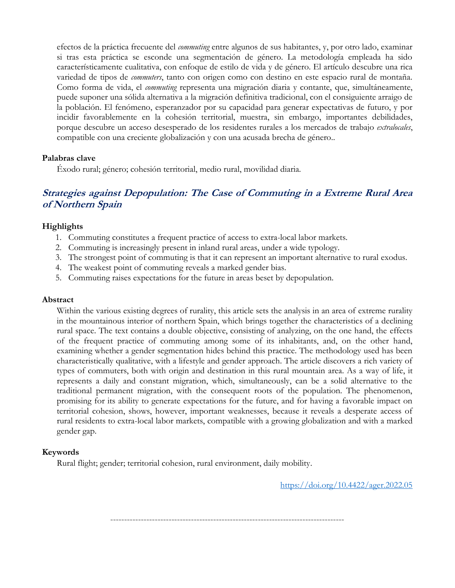efectos de la práctica frecuente del *commuting* entre algunos de sus habitantes, y, por otro lado, examinar si tras esta práctica se esconde una segmentación de género. La metodología empleada ha sido característicamente cualitativa, con enfoque de estilo de vida y de género. El artículo descubre una rica variedad de tipos de *commuters*, tanto con origen como con destino en este espacio rural de montaña. Como forma de vida, el *commuting* representa una migración diaria y contante, que, simultáneamente, puede suponer una sólida alternativa a la migración definitiva tradicional, con el consiguiente arraigo de la población. El fenómeno, esperanzador por su capacidad para generar expectativas de futuro, y por incidir favorablemente en la cohesión territorial, muestra, sin embargo, importantes debilidades, porque descubre un acceso desesperado de los residentes rurales a los mercados de trabajo *extralocales*, compatible con una creciente globalización y con una acusada brecha de género..

#### **Palabras clave**

Éxodo rural; género; cohesión territorial, medio rural, movilidad diaria.

## **Strategies against Depopulation: The Case of Commuting in a Extreme Rural Area of Northern Spain**

#### **Highlights**

- 1. Commuting constitutes a frequent practice of access to extra-local labor markets.
- 2. Commuting is increasingly present in inland rural areas, under a wide typology.
- 3. The strongest point of commuting is that it can represent an important alternative to rural exodus.
- 4. The weakest point of commuting reveals a marked gender bias.
- 5. Commuting raises expectations for the future in areas beset by depopulation.

#### **Abstract**

Within the various existing degrees of rurality, this article sets the analysis in an area of extreme rurality in the mountainous interior of northern Spain, which brings together the characteristics of a declining rural space. The text contains a double objective, consisting of analyzing, on the one hand, the effects of the frequent practice of commuting among some of its inhabitants, and, on the other hand, examining whether a gender segmentation hides behind this practice. The methodology used has been characteristically qualitative, with a lifestyle and gender approach. The article discovers a rich variety of types of commuters, both with origin and destination in this rural mountain area. As a way of life, it represents a daily and constant migration, which, simultaneously, can be a solid alternative to the traditional permanent migration, with the consequent roots of the population. The phenomenon, promising for its ability to generate expectations for the future, and for having a favorable impact on territorial cohesion, shows, however, important weaknesses, because it reveals a desperate access of rural residents to extra-local labor markets, compatible with a growing globalization and with a marked gender gap.

#### **Keywords**

Rural flight; gender; territorial cohesion, rural environment, daily mobility.

<https://doi.org/10.4422/ager.2022.05>

------------------------------------------------------------------------------------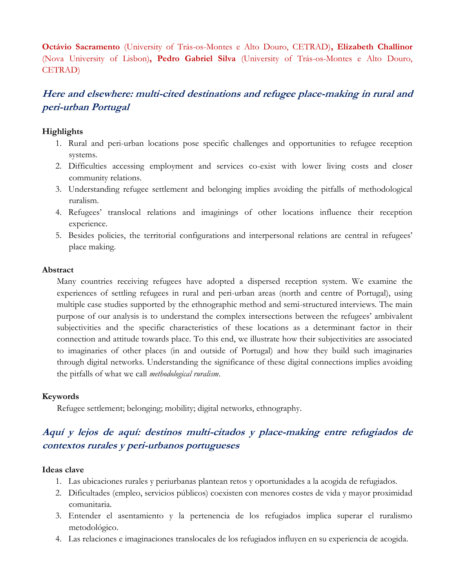**Octávio Sacramento** (University of Trás-os-Montes e Alto Douro, CETRAD)**, Elizabeth Challinor**  (Nova University of Lisbon)**, Pedro Gabriel Silva** (University of Trás-os-Montes e Alto Douro, CETRAD)

## **Here and elsewhere: multi-cited destinations and refugee place-making in rural and peri-urban Portugal**

### **Highlights**

- 1. Rural and peri-urban locations pose specific challenges and opportunities to refugee reception systems.
- 2. Difficulties accessing employment and services co-exist with lower living costs and closer community relations.
- 3. Understanding refugee settlement and belonging implies avoiding the pitfalls of methodological ruralism.
- 4. Refugees' translocal relations and imaginings of other locations influence their reception experience.
- 5. Besides policies, the territorial configurations and interpersonal relations are central in refugees' place making.

#### **Abstract**

Many countries receiving refugees have adopted a dispersed reception system. We examine the experiences of settling refugees in rural and peri-urban areas (north and centre of Portugal), using multiple case studies supported by the ethnographic method and semi-structured interviews. The main purpose of our analysis is to understand the complex intersections between the refugees' ambivalent subjectivities and the specific characteristics of these locations as a determinant factor in their connection and attitude towards place. To this end, we illustrate how their subjectivities are associated to imaginaries of other places (in and outside of Portugal) and how they build such imaginaries through digital networks. Understanding the significance of these digital connections implies avoiding the pitfalls of what we call *methodological ruralism*.

#### **Keywords**

Refugee settlement; belonging; mobility; digital networks, ethnography.

## **Aquí y lejos de aquí: destinos multi-citados y place-making entre refugiados de contextos rurales y peri-urbanos portugueses**

#### **Ideas clave**

- 1. Las ubicaciones rurales y periurbanas plantean retos y oportunidades a la acogida de refugiados.
- 2. Dificultades (empleo, servicios públicos) coexisten con menores costes de vida y mayor proximidad comunitaria.
- 3. Entender el asentamiento y la pertenencia de los refugiados implica superar el ruralismo metodológico.
- 4. Las relaciones e imaginaciones translocales de los refugiados influyen en su experiencia de acogida.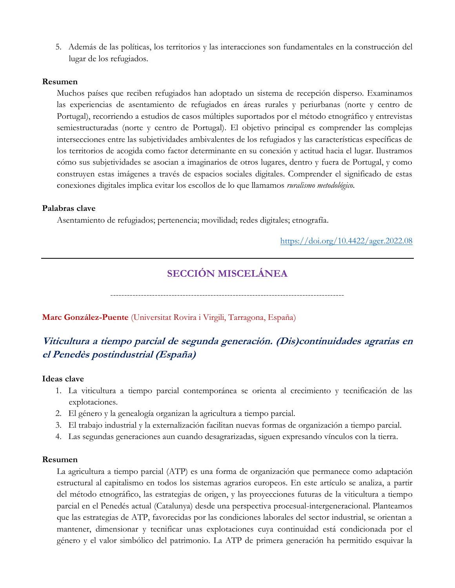5. Además de las políticas, los territorios y las interacciones son fundamentales en la construcción del lugar de los refugiados.

#### **Resumen**

Muchos países que reciben refugiados han adoptado un sistema de recepción disperso. Examinamos las experiencias de asentamiento de refugiados en áreas rurales y periurbanas (norte y centro de Portugal), recorriendo a estudios de casos múltiples suportados por el método etnográfico y entrevistas semiestructuradas (norte y centro de Portugal). El objetivo principal es comprender las complejas intersecciones entre las subjetividades ambivalentes de los refugiados y las características específicas de los territorios de acogida como factor determinante en su conexión y actitud hacia el lugar. Ilustramos cómo sus subjetividades se asocian a imaginarios de otros lugares, dentro y fuera de Portugal, y como construyen estas imágenes a través de espacios sociales digitales. Comprender el significado de estas conexiones digitales implica evitar los escollos de lo que llamamos *ruralismo metodológico*.

#### **Palabras clave**

Asentamiento de refugiados; pertenencia; movilidad; redes digitales; etnografía.

<https://doi.org/10.4422/ager.2022.08>

# **SECCIÓN MISCELÁNEA**

------------------------------------------------------------------------------------

#### **Marc González-Puente** (Universitat Rovira i Virgili, Tarragona, España)

# **Viticultura a tiempo parcial de segunda generación. (Dis)continuidades agrarias en el Penedès postindustrial (España)**

#### **Ideas clave**

- 1. La viticultura a tiempo parcial contemporánea se orienta al crecimiento y tecnificación de las explotaciones.
- 2. El género y la genealogía organizan la agricultura a tiempo parcial.
- 3. El trabajo industrial y la externalización facilitan nuevas formas de organización a tiempo parcial.
- 4. Las segundas generaciones aun cuando desagrarizadas, siguen expresando vínculos con la tierra.

#### **Resumen**

La agricultura a tiempo parcial (ATP) es una forma de organización que permanece como adaptación estructural al capitalismo en todos los sistemas agrarios europeos. En este artículo se analiza, a partir del método etnográfico, las estrategias de origen, y las proyecciones futuras de la viticultura a tiempo parcial en el Penedés actual (Catalunya) desde una perspectiva procesual-intergeneracional. Planteamos que las estrategias de ATP, favorecidas por las condiciones laborales del sector industrial, se orientan a mantener, dimensionar y tecnificar unas explotaciones cuya continuidad está condicionada por el género y el valor simbólico del patrimonio. La ATP de primera generación ha permitido esquivar la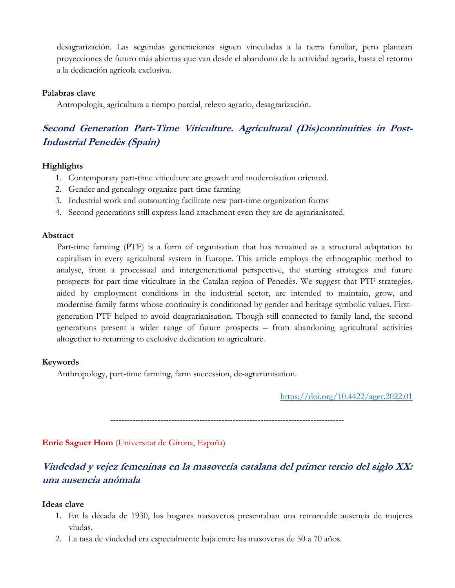desagrarización. Las segundas generaciones siguen vinculadas a la tierra familiar, pero plantean proyecciones de futuro más abiertas que van desde el abandono de la actividad agraria, hasta el retorno a la dedicación agrícola exclusiva.

#### **Palabras clave**

Antropología, agricultura a tiempo parcial, relevo agrario, desagrarización.

# **Second Generation Part-Time Viticulture. Agricultural (Dis)continuities in Post-Industrial Penedès (Spain)**

### **Highlights**

- 1. Contemporary part-time viticulture are growth and modernisation oriented.
- 2. Gender and genealogy organize part-time farming
- 3. Industrial work and outsourcing facilitate new part-time organization forms
- 4. Second generations still express land attachment even they are de-agrarianisated.

#### **Abstract**

Part-time farming (PTF) is a form of organisation that has remained as a structural adaptation to capitalism in every agricultural system in Europe. This article employs the ethnographic method to analyse, from a processual and intergenerational perspective, the starting strategies and future prospects for part-time viticulture in the Catalan region of Penedès. We suggest that PTF strategies, aided by employment conditions in the industrial sector, are intended to maintain, grow, and modernise family farms whose continuity is conditioned by gender and heritage symbolic values. Firstgeneration PTF helped to avoid deagrarianisation. Though still connected to family land, the second generations present a wider range of future prospects – from abandoning agricultural activities altogether to returning to exclusive dedication to agriculture.

#### **Keywords**

Anthropology, part-time farming, farm succession, de-agrarianisation.

<https://doi.org/10.4422/ager.2022.01>

------------------------------------------------------------------------------------

**Enric Saguer Hom** (Universitat de Girona, España)

## **Viudedad y vejez femeninas en la masovería catalana del primer tercio del siglo XX: una ausencia anómala**

### **Ideas clave**

- 1. En la década de 1930, los hogares masoveros presentaban una remarcable ausencia de mujeres viudas.
- 2. La tasa de viudedad era especialmente baja entre las masoveras de 50 a 70 años.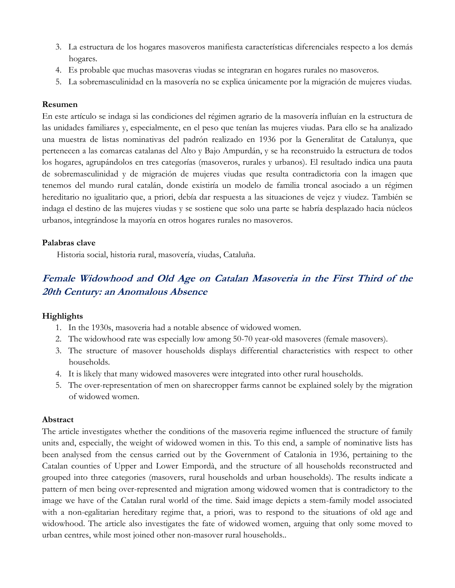- 3. La estructura de los hogares masoveros manifiesta características diferenciales respecto a los demás hogares.
- 4. Es probable que muchas masoveras viudas se integraran en hogares rurales no masoveros.
- 5. La sobremasculinidad en la masovería no se explica únicamente por la migración de mujeres viudas.

### **Resumen**

En este artículo se indaga si las condiciones del régimen agrario de la masovería influían en la estructura de las unidades familiares y, especialmente, en el peso que tenían las mujeres viudas. Para ello se ha analizado una muestra de listas nominativas del padrón realizado en 1936 por la Generalitat de Catalunya, que pertenecen a las comarcas catalanas del Alto y Bajo Ampurdán, y se ha reconstruido la estructura de todos los hogares, agrupándolos en tres categorías (masoveros, rurales y urbanos). El resultado indica una pauta de sobremasculinidad y de migración de mujeres viudas que resulta contradictoria con la imagen que tenemos del mundo rural catalán, donde existiría un modelo de familia troncal asociado a un régimen hereditario no igualitario que, a priori, debía dar respuesta a las situaciones de vejez y viudez. También se indaga el destino de las mujeres viudas y se sostiene que solo una parte se habría desplazado hacia núcleos urbanos, integrándose la mayoría en otros hogares rurales no masoveros.

#### **Palabras clave**

Historia social, historia rural, masovería, viudas, Cataluña.

## **Female Widowhood and Old Age on Catalan Masoveria in the First Third of the 20th Century: an Anomalous Absence**

### **Highlights**

- 1. In the 1930s, masoveria had a notable absence of widowed women.
- 2. The widowhood rate was especially low among 50-70 year-old masoveres (female masovers).
- 3. The structure of masover households displays differential characteristics with respect to other households.
- 4. It is likely that many widowed masoveres were integrated into other rural households.
- 5. The over-representation of men on sharecropper farms cannot be explained solely by the migration of widowed women.

#### **Abstract**

The article investigates whether the conditions of the masoveria regime influenced the structure of family units and, especially, the weight of widowed women in this. To this end, a sample of nominative lists has been analysed from the census carried out by the Government of Catalonia in 1936, pertaining to the Catalan counties of Upper and Lower Empordà, and the structure of all households reconstructed and grouped into three categories (masovers, rural households and urban households). The results indicate a pattern of men being over-represented and migration among widowed women that is contradictory to the image we have of the Catalan rural world of the time. Said image depicts a stem-family model associated with a non-egalitarian hereditary regime that, a priori, was to respond to the situations of old age and widowhood. The article also investigates the fate of widowed women, arguing that only some moved to urban centres, while most joined other non-masover rural households..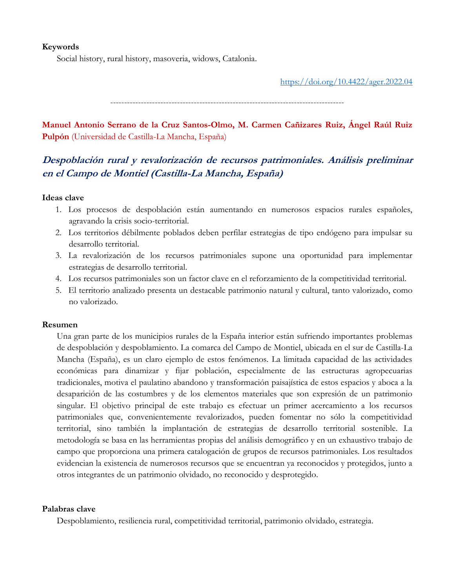### **Keywords**

Social history, rural history, masoveria, widows, Catalonia.

<https://doi.org/10.4422/ager.2022.04>

------------------------------------------------------------------------------------

**Manuel Antonio Serrano de la Cruz Santos-Olmo, M. Carmen Cañizares Ruiz, Ángel Raúl Ruiz Pulpón** (Universidad de Castilla-La Mancha, España)

## **Despoblación rural y revalorización de recursos patrimoniales. Análisis preliminar en el Campo de Montiel (Castilla-La Mancha, España)**

#### **Ideas clave**

- 1. Los procesos de despoblación están aumentando en numerosos espacios rurales españoles, agravando la crisis socio-territorial.
- 2. Los territorios débilmente poblados deben perfilar estrategias de tipo endógeno para impulsar su desarrollo territorial.
- 3. La revalorización de los recursos patrimoniales supone una oportunidad para implementar estrategias de desarrollo territorial.
- 4. Los recursos patrimoniales son un factor clave en el reforzamiento de la competitividad territorial.
- 5. El territorio analizado presenta un destacable patrimonio natural y cultural, tanto valorizado, como no valorizado.

#### **Resumen**

Una gran parte de los municipios rurales de la España interior están sufriendo importantes problemas de despoblación y despoblamiento. La comarca del Campo de Montiel, ubicada en el sur de Castilla-La Mancha (España), es un claro ejemplo de estos fenómenos. La limitada capacidad de las actividades económicas para dinamizar y fijar población, especialmente de las estructuras agropecuarias tradicionales, motiva el paulatino abandono y transformación paisajística de estos espacios y aboca a la desaparición de las costumbres y de los elementos materiales que son expresión de un patrimonio singular. El objetivo principal de este trabajo es efectuar un primer acercamiento a los recursos patrimoniales que, convenientemente revalorizados, pueden fomentar no sólo la competitividad territorial, sino también la implantación de estrategias de desarrollo territorial sostenible. La metodología se basa en las herramientas propias del análisis demográfico y en un exhaustivo trabajo de campo que proporciona una primera catalogación de grupos de recursos patrimoniales. Los resultados evidencian la existencia de numerosos recursos que se encuentran ya reconocidos y protegidos, junto a otros integrantes de un patrimonio olvidado, no reconocido y desprotegido.

#### **Palabras clave**

Despoblamiento, resiliencia rural, competitividad territorial, patrimonio olvidado, estrategia.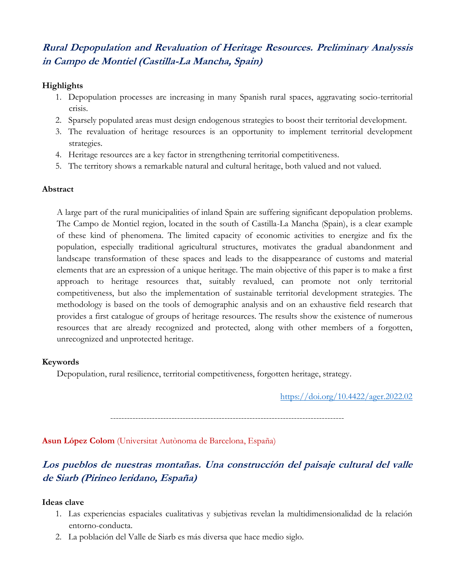# **Rural Depopulation and Revaluation of Heritage Resources. Preliminary Analyssis in Campo de Montiel (Castilla-La Mancha, Spain)**

### **Highlights**

- 1. Depopulation processes are increasing in many Spanish rural spaces, aggravating socio-territorial crisis.
- 2. Sparsely populated areas must design endogenous strategies to boost their territorial development.
- 3. The revaluation of heritage resources is an opportunity to implement territorial development strategies.
- 4. Heritage resources are a key factor in strengthening territorial competitiveness.
- 5. The territory shows a remarkable natural and cultural heritage, both valued and not valued.

## **Abstract**

A large part of the rural municipalities of inland Spain are suffering significant depopulation problems. The Campo de Montiel region, located in the south of Castilla-La Mancha (Spain), is a clear example of these kind of phenomena. The limited capacity of economic activities to energize and fix the population, especially traditional agricultural structures, motivates the gradual abandonment and landscape transformation of these spaces and leads to the disappearance of customs and material elements that are an expression of a unique heritage. The main objective of this paper is to make a first approach to heritage resources that, suitably revalued, can promote not only territorial competitiveness, but also the implementation of sustainable territorial development strategies. The methodology is based on the tools of demographic analysis and on an exhaustive field research that provides a first catalogue of groups of heritage resources. The results show the existence of numerous resources that are already recognized and protected, along with other members of a forgotten, unrecognized and unprotected heritage.

## **Keywords**

Depopulation, rural resilience, territorial competitiveness, forgotten heritage, strategy.

<https://doi.org/10.4422/ager.2022.02>

------------------------------------------------------------------------------------

**Asun López Colom** (Universitat Autònoma de Barcelona, España)

**Los pueblos de nuestras montañas. Una construcción del paisaje cultural del valle de Siarb (Pirineo leridano, España)**

## **Ideas clave**

- 1. Las experiencias espaciales cualitativas y subjetivas revelan la multidimensionalidad de la relación entorno-conducta.
- 2. La población del Valle de Siarb es más diversa que hace medio siglo.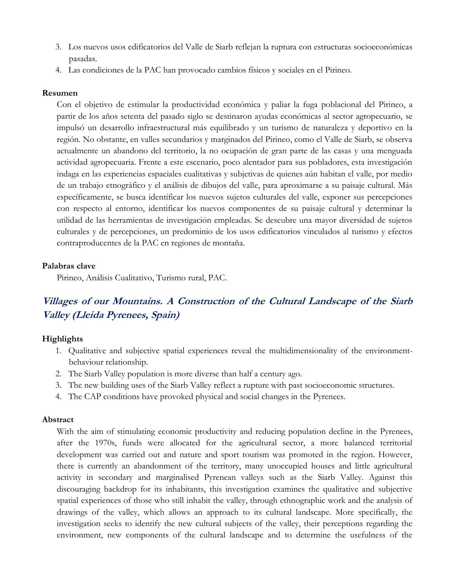- 3. Los nuevos usos edificatorios del Valle de Siarb reflejan la ruptura con estructuras socioeconómicas pasadas.
- 4. Las condiciones de la PAC han provocado cambios físicos y sociales en el Pirineo.

#### **Resumen**

Con el objetivo de estimular la productividad económica y paliar la fuga poblacional del Pirineo, a partir de los años setenta del pasado siglo se destinaron ayudas económicas al sector agropecuario, se impulsó un desarrollo infraestructural más equilibrado y un turismo de naturaleza y deportivo en la región. No obstante, en valles secundarios y marginados del Pirineo, como el Valle de Siarb, se observa actualmente un abandono del territorio, la no ocupación de gran parte de las casas y una menguada actividad agropecuaria. Frente a este escenario, poco alentador para sus pobladores, esta investigación indaga en las experiencias espaciales cualitativas y subjetivas de quienes aún habitan el valle, por medio de un trabajo etnográfico y el análisis de dibujos del valle, para aproximarse a su paisaje cultural. Más específicamente, se busca identificar los nuevos sujetos culturales del valle, exponer sus percepciones con respecto al entorno, identificar los nuevos componentes de su paisaje cultural y determinar la utilidad de las herramientas de investigación empleadas. Se descubre una mayor diversidad de sujetos culturales y de percepciones, un predominio de los usos edificatorios vinculados al turismo y efectos contraproducentes de la PAC en regiones de montaña.

#### **Palabras clave**

Pirineo, Análisis Cualitativo, Turismo rural, PAC.

# **Villages of our Mountains. A Construction of the Cultural Landscape of the Siarb Valley (Lleida Pyrenees, Spain)**

### **Highlights**

- 1. Qualitative and subjective spatial experiences reveal the multidimensionality of the environmentbehaviour relationship.
- 2. The Siarb Valley population is more diverse than half a century ago.
- 3. The new building uses of the Siarb Valley reflect a rupture with past socioeconomic structures.
- 4. The CAP conditions have provoked physical and social changes in the Pyrenees.

#### **Abstract**

With the aim of stimulating economic productivity and reducing population decline in the Pyrenees, after the 1970s, funds were allocated for the agricultural sector, a more balanced territorial development was carried out and nature and sport tourism was promoted in the region. However, there is currently an abandonment of the territory, many unoccupied houses and little agricultural activity in secondary and marginalised Pyrenean valleys such as the Siarb Valley. Against this discouraging backdrop for its inhabitants, this investigation examines the qualitative and subjective spatial experiences of those who still inhabit the valley, through ethnographic work and the analysis of drawings of the valley, which allows an approach to its cultural landscape. More specifically, the investigation seeks to identify the new cultural subjects of the valley, their perceptions regarding the environment, new components of the cultural landscape and to determine the usefulness of the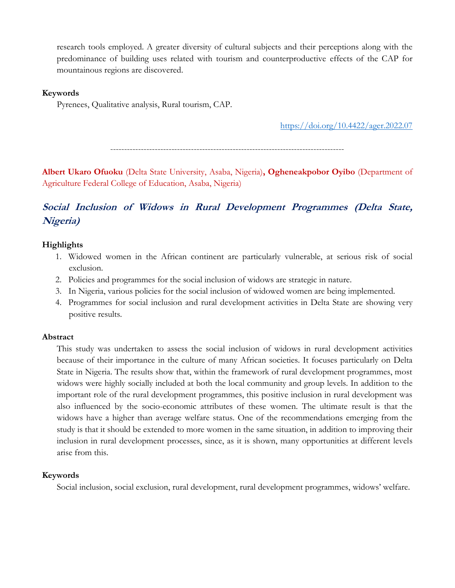research tools employed. A greater diversity of cultural subjects and their perceptions along with the predominance of building uses related with tourism and counterproductive effects of the CAP for mountainous regions are discovered.

#### **Keywords**

Pyrenees, Qualitative analysis, Rural tourism, CAP.

<https://doi.org/10.4422/ager.2022.07>

------------------------------------------------------------------------------------

**Albert Ukaro Ofuoku** (Delta State University, Asaba, Nigeria)**, Ogheneakpobor Oyibo** (Department of Agriculture Federal College of Education, Asaba, Nigeria)

# **Social Inclusion of Widows in Rural Development Programmes (Delta State, Nigeria)**

#### **Highlights**

- 1. Widowed women in the African continent are particularly vulnerable, at serious risk of social exclusion.
- 2. Policies and programmes for the social inclusion of widows are strategic in nature.
- 3. In Nigeria, various policies for the social inclusion of widowed women are being implemented.
- 4. Programmes for social inclusion and rural development activities in Delta State are showing very positive results.

#### **Abstract**

This study was undertaken to assess the social inclusion of widows in rural development activities because of their importance in the culture of many African societies. It focuses particularly on Delta State in Nigeria. The results show that, within the framework of rural development programmes, most widows were highly socially included at both the local community and group levels. In addition to the important role of the rural development programmes, this positive inclusion in rural development was also influenced by the socio-economic attributes of these women. The ultimate result is that the widows have a higher than average welfare status. One of the recommendations emerging from the study is that it should be extended to more women in the same situation, in addition to improving their inclusion in rural development processes, since, as it is shown, many opportunities at different levels arise from this.

#### **Keywords**

Social inclusion, social exclusion, rural development, rural development programmes, widows' welfare.